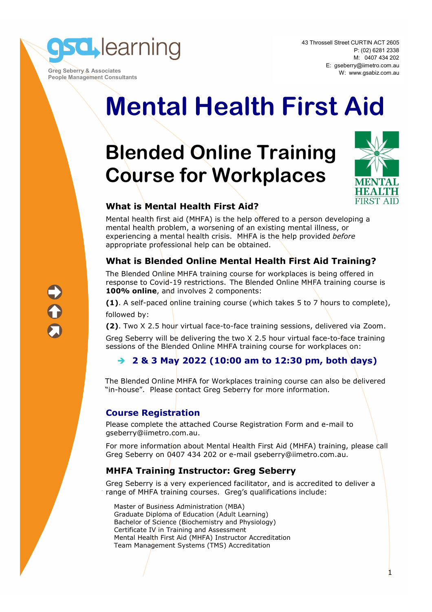

 **Greg Seberry & Associates People Management Consultants** 

# **Mental Health First Aid**

## **Blended Online Training Course for Workplaces**



1

#### **What is Mental Health First Aid?**

Mental health first aid (MHFA) is the help offered to a person developing a mental health problem, a worsening of an existing mental illness, or experiencing a mental health crisis. MHFA is the help provided *before* appropriate professional help can be obtained.

#### **What is Blended Online Mental Health First Aid Training?**

The Blended Online MHFA training course for workplaces is being offered in response to Covid-19 restrictions. The Blended Online MHFA training course is **100% online**, and involves 2 components:

**(1)**. A self-paced online training course (which takes 5 to 7 hours to complete), followed by:

**(2)**. Two X 2.5 hour virtual face-to-face training sessions, delivered via Zoom.

Greg Seberry will be delivering the two X 2.5 hour virtual face-to-face training sessions of the Blended Online MHFA training course for workplaces on:

#### **2 & 3 May 2022 (10:00 am to 12:30 pm, both days)**

The Blended Online MHFA for Workplaces training course can also be delivered "in-house". Please contact Greg Seberry for more information.

#### **Course Registration**

Please complete the attached Course Registration Form and e-mail to gseberry@iimetro.com.au.

For more information about Mental Health First Aid (MHFA) training, please call Greg Seberry on 0407 434 202 or e-mail gseberry@iimetro.com.au.

#### **MHFA Training Instructor: Greg Seberry**

Greg Seberry is a very experienced facilitator, and is accredited to deliver a range of MHFA training courses. Greg's qualifications include:

Master of Business Administration (MBA) Graduate Diploma of Education (Adult Learning) Bachelor of Science (Biochemistry and Physiology) Certificate IV in Training and Assessment Mental Health First Aid (MHFA) Instructor Accreditation Team Management Systems (TMS) Accreditation